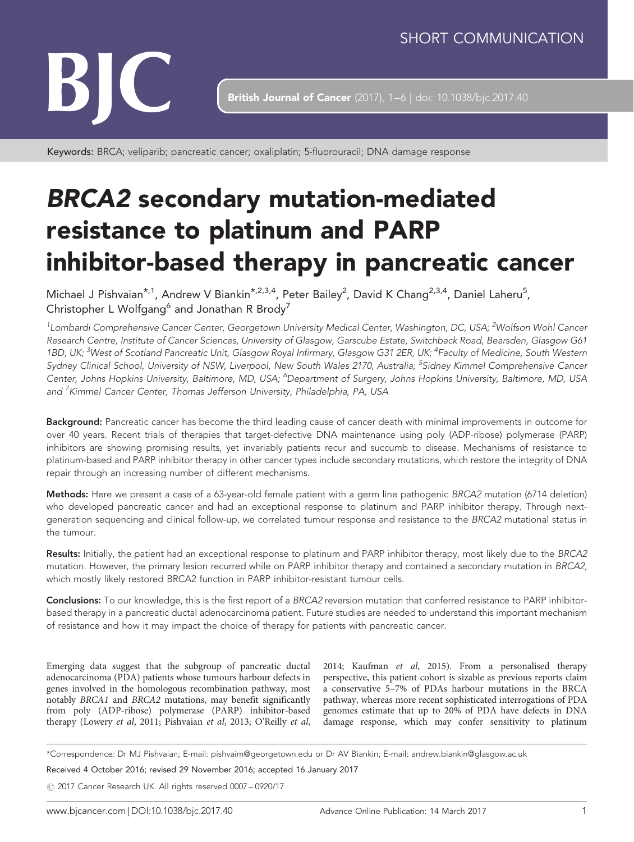

British Journal of Cancer (2017), 1-6 | doi: 10.1038/bjc.2017.40

Keywords: BRCA; veliparib; pancreatic cancer; oxaliplatin; 5-fluorouracil; DNA damage response

# BRCA2 secondary mutation-mediated resistance to platinum and PARP inhibitor-based therapy in pancreatic cancer

Michael J Pishvaian\*<sup>,1</sup>, Andrew V Biankin<sup>\*,2,3,4</sup>, Peter Bailey<sup>2</sup>, David K Chang<sup>2,3,4</sup>, Daniel Laheru<sup>5</sup>, Christopher L Wolfgang<sup>6</sup> and Jonathan R Brody<sup>7</sup>

<sup>1</sup>Lombardi Comprehensive Cancer Center, Georgetown University Medical Center, Washington, DC, USA; <sup>2</sup>Wolfson Wohl Cancer Research Centre, Institute of Cancer Sciences, University of Glasgow, Garscube Estate, Switchback Road, Bearsden, Glasgow G61 1BD, UK; <sup>3</sup>West of Scotland Pancreatic Unit, Glasgow Royal Infirmary, Glasgow G31 2ER, UK; <sup>4</sup>Faculty of Medicine, South Western Sydney Clinical School, University of NSW, Liverpool, New South Wales 2170, Australia; <sup>5</sup>Sidney Kimmel Comprehensive Cancer Center, Johns Hopkins University, Baltimore, MD, USA; <sup>6</sup>Department of Surgery, Johns Hopkins University, Baltimore, MD, USA and <sup>7</sup>Kimmel Cancer Center, Thomas Jefferson University, Philadelphia, PA, USA

Background: Pancreatic cancer has become the third leading cause of cancer death with minimal improvements in outcome for over 40 years. Recent trials of therapies that target-defective DNA maintenance using poly (ADP-ribose) polymerase (PARP) inhibitors are showing promising results, yet invariably patients recur and succumb to disease. Mechanisms of resistance to platinum-based and PARP inhibitor therapy in other cancer types include secondary mutations, which restore the integrity of DNA repair through an increasing number of different mechanisms.

Methods: Here we present a case of a 63-year-old female patient with a germ line pathogenic BRCA2 mutation (6714 deletion) who developed pancreatic cancer and had an exceptional response to platinum and PARP inhibitor therapy. Through nextgeneration sequencing and clinical follow-up, we correlated tumour response and resistance to the BRCA2 mutational status in the tumour.

Results: Initially, the patient had an exceptional response to platinum and PARP inhibitor therapy, most likely due to the BRCA2 mutation. However, the primary lesion recurred while on PARP inhibitor therapy and contained a secondary mutation in BRCA2, which mostly likely restored BRCA2 function in PARP inhibitor-resistant tumour cells.

Conclusions: To our knowledge, this is the first report of a BRCA2 reversion mutation that conferred resistance to PARP inhibitorbased therapy in a pancreatic ductal adenocarcinoma patient. Future studies are needed to understand this important mechanism of resistance and how it may impact the choice of therapy for patients with pancreatic cancer.

Emerging data suggest that the subgroup of pancreatic ductal adenocarcinoma (PDA) patients whose tumours harbour defects in genes involved in the homologous recombination pathway, most notably BRCA1 and BRCA2 mutations, may benefit significantly from poly (ADP-ribose) polymerase (PARP) inhibitor-based therapy [\(Lowery](#page-4-0) et al, 2011; [Pishvaian](#page-4-0) et al, 2013; [O'Reilly](#page-4-0) et al, [2014](#page-4-0); [Kaufman](#page-4-0) et al, 2015). From a personalised therapy perspective, this patient cohort is sizable as previous reports claim a conservative 5–7% of PDAs harbour mutations in the BRCA pathway, whereas more recent sophisticated interrogations of PDA genomes estimate that up to 20% of PDA have defects in DNA damage response, which may confer sensitivity to platinum

\*Correspondence: Dr MJ Pishvaian; E-mail: [pishvaim@georgetown.edu](mailto:pishvaim@georgetown.edu) or Dr AV Biankin; E-mail: [andrew.biankin@glasgow.ac.uk](mailto:andrew.biankin@glasgow.ac.uk)

Received 4 October 2016; revised 29 November 2016; accepted 16 January 2017

 $\circ$  2017 Cancer Research UK. All rights reserved 0007 – 0920/17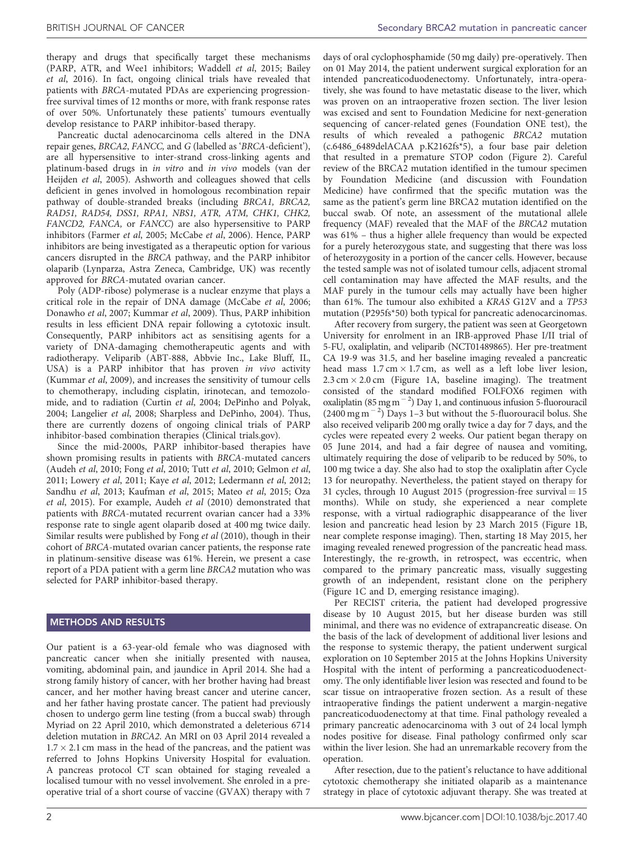therapy and drugs that specifically target these mechanisms (PARP, ATR, and Wee1 inhibitors; [Waddell](#page-5-0) et al, 2015; [Bailey](#page-3-0) et al[, 2016](#page-3-0)). In fact, ongoing clinical trials have revealed that patients with BRCA-mutated PDAs are experiencing progressionfree survival times of 12 months or more, with frank response rates of over 50%. Unfortunately these patients' tumours eventually develop resistance to PARP inhibitor-based therapy.

Pancreatic ductal adenocarcinoma cells altered in the DNA repair genes, BRCA2, FANCC, and G (labelled as 'BRCA-deficient'), are all hypersensitive to inter-strand cross-linking agents and platinum-based drugs in in vitro and in vivo models ([van der](#page-5-0) [Heijden](#page-5-0) et al, 2005). Ashworth and colleagues showed that cells deficient in genes involved in homologous recombination repair pathway of double-stranded breaks (including BRCA1, BRCA2, RAD51, RAD54, DSS1, RPA1, NBS1, ATR, ATM, CHK1, CHK2, FANCD2, FANCA, or FANCC) are also hypersensitive to PARP inhibitors ([Farmer](#page-4-0) et al, 2005; [McCabe](#page-4-0) et al, 2006). Hence, PARP inhibitors are being investigated as a therapeutic option for various cancers disrupted in the BRCA pathway, and the PARP inhibitor olaparib (Lynparza, Astra Zeneca, Cambridge, UK) was recently approved for BRCA-mutated ovarian cancer.

Poly (ADP-ribose) polymerase is a nuclear enzyme that plays a critical role in the repair of DNA damage [\(McCabe](#page-4-0) et al, 2006; [Donawho](#page-4-0) et al, 2007; [Kummar](#page-4-0) et al, 2009). Thus, PARP inhibition results in less efficient DNA repair following a cytotoxic insult. Consequently, PARP inhibitors act as sensitising agents for a variety of DNA-damaging chemotherapeutic agents and with radiotherapy. Veliparib (ABT-888, Abbvie Inc., Lake Bluff, IL, USA) is a PARP inhibitor that has proven in vivo activity ([Kummar](#page-4-0) et al, 2009), and increases the sensitivity of tumour cells to chemotherapy, including cisplatin, irinotecan, and temozolomide, and to radiation ([Curtin](#page-4-0) et al, 2004; [DePinho and Polyak,](#page-4-0) [2004](#page-4-0); [Langelier](#page-4-0) et al, 2008; [Sharpless and DePinho, 2004\)](#page-4-0). Thus, there are currently dozens of ongoing clinical trials of PARP inhibitor-based combination therapies (Clinical trials.gov).

Since the mid-2000s, PARP inhibitor-based therapies have shown promising results in patients with BRCA-mutated cancers ([Audeh](#page-3-0) et al, 2010; Fong et al[, 2010;](#page-4-0) Tutt et al[, 2010;](#page-5-0) [Gelmon](#page-4-0) et al, [2011](#page-4-0); [Lowery](#page-4-0) et al, 2011; Kaye et al[, 2012](#page-4-0); [Ledermann](#page-4-0) et al, 2012; [Sandhu](#page-4-0) et al, 2013; [Kaufman](#page-4-0) et al, 2015; [Mateo](#page-4-0) et al, 2015; [Oza](#page-4-0) et al[, 2015\)](#page-4-0). For example, Audeh et al [\(2010\)](#page-3-0) demonstrated that patients with BRCA-mutated recurrent ovarian cancer had a 33% response rate to single agent olaparib dosed at 400 mg twice daily. Similar results were published by Fong et al [\(2010\)](#page-4-0), though in their cohort of BRCA-mutated ovarian cancer patients, the response rate in platinum-sensitive disease was 61%. Herein, we present a case report of a PDA patient with a germ line BRCA2 mutation who was selected for PARP inhibitor-based therapy.

#### METHODS AND RESULTS

Our patient is a 63-year-old female who was diagnosed with pancreatic cancer when she initially presented with nausea, vomiting, abdominal pain, and jaundice in April 2014. She had a strong family history of cancer, with her brother having had breast cancer, and her mother having breast cancer and uterine cancer, and her father having prostate cancer. The patient had previously chosen to undergo germ line testing (from a buccal swab) through Myriad on 22 April 2010, which demonstrated a deleterious 6714 deletion mutation in BRCA2. An MRI on 03 April 2014 revealed a  $1.7 \times 2.1$  cm mass in the head of the pancreas, and the patient was referred to Johns Hopkins University Hospital for evaluation. A pancreas protocol CT scan obtained for staging revealed a localised tumour with no vessel involvement. She enroled in a preoperative trial of a short course of vaccine (GVAX) therapy with 7

days of oral cyclophosphamide (50 mg daily) pre-operatively. Then on 01 May 2014, the patient underwent surgical exploration for an intended pancreaticoduodenectomy. Unfortunately, intra-operatively, she was found to have metastatic disease to the liver, which was proven on an intraoperative frozen section. The liver lesion was excised and sent to Foundation Medicine for next-generation sequencing of cancer-related genes (Foundation ONE test), the results of which revealed a pathogenic BRCA2 mutation (c.6486\_6489delACAA p.K2162fs\*5), a four base pair deletion that resulted in a premature STOP codon [\(Figure 2](#page-3-0)). Careful review of the BRCA2 mutation identified in the tumour specimen by Foundation Medicine (and discussion with Foundation Medicine) have confirmed that the specific mutation was the same as the patient's germ line BRCA2 mutation identified on the buccal swab. Of note, an assessment of the mutational allele frequency (MAF) revealed that the MAF of the BRCA2 mutation was 61% – thus a higher allele frequency than would be expected for a purely heterozygous state, and suggesting that there was loss of heterozygosity in a portion of the cancer cells. However, because the tested sample was not of isolated tumour cells, adjacent stromal cell contamination may have affected the MAF results, and the MAF purely in the tumour cells may actually have been higher than 61%. The tumour also exhibited a KRAS G12V and a TP53 mutation (P295fs\*50) both typical for pancreatic adenocarcinomas.

After recovery from surgery, the patient was seen at Georgetown University for enrolment in an IRB-approved Phase I/II trial of 5-FU, oxaliplatin, and veliparib (NCT01489865). Her pre-treatment CA 19-9 was 31.5, and her baseline imaging revealed a pancreatic head mass  $1.7 \text{ cm} \times 1.7 \text{ cm}$ , as well as a left lobe liver lesion,  $2.3 \text{ cm} \times 2.0 \text{ cm}$  ([Figure 1A,](#page-2-0) baseline imaging). The treatment consisted of the standard modified FOLFOX6 regimen with oxaliplatin (85 mg m $^{-2}$ ) Day 1, and continuous infusion 5-fluorouracil  $(2400 \text{ mg m}^{-2})$  Days 1-3 but without the 5-fluorouracil bolus. She also received veliparib 200 mg orally twice a day for 7 days, and the cycles were repeated every 2 weeks. Our patient began therapy on 05 June 2014, and had a fair degree of nausea and vomiting, ultimately requiring the dose of veliparib to be reduced by 50%, to 100 mg twice a day. She also had to stop the oxaliplatin after Cycle 13 for neuropathy. Nevertheless, the patient stayed on therapy for 31 cycles, through 10 August 2015 (progression-free survival  $=$  15 months). While on study, she experienced a near complete response, with a virtual radiographic disappearance of the liver lesion and pancreatic head lesion by 23 March 2015 ([Figure 1B,](#page-2-0) near complete response imaging). Then, starting 18 May 2015, her imaging revealed renewed progression of the pancreatic head mass. Interestingly, the re-growth, in retrospect, was eccentric, when compared to the primary pancreatic mass, visually suggesting growth of an independent, resistant clone on the periphery ([Figure 1C and D,](#page-2-0) emerging resistance imaging).

Per RECIST criteria, the patient had developed progressive disease by 10 August 2015, but her disease burden was still minimal, and there was no evidence of extrapancreatic disease. On the basis of the lack of development of additional liver lesions and the response to systemic therapy, the patient underwent surgical exploration on 10 September 2015 at the Johns Hopkins University Hospital with the intent of performing a pancreaticoduodenectomy. The only identifiable liver lesion was resected and found to be scar tissue on intraoperative frozen section. As a result of these intraoperative findings the patient underwent a margin-negative pancreaticoduodenectomy at that time. Final pathology revealed a primary pancreatic adenocarcinoma with 3 out of 24 local lymph nodes positive for disease. Final pathology confirmed only scar within the liver lesion. She had an unremarkable recovery from the operation.

After resection, due to the patient's reluctance to have additional cytotoxic chemotherapy she initiated olaparib as a maintenance strategy in place of cytotoxic adjuvant therapy. She was treated at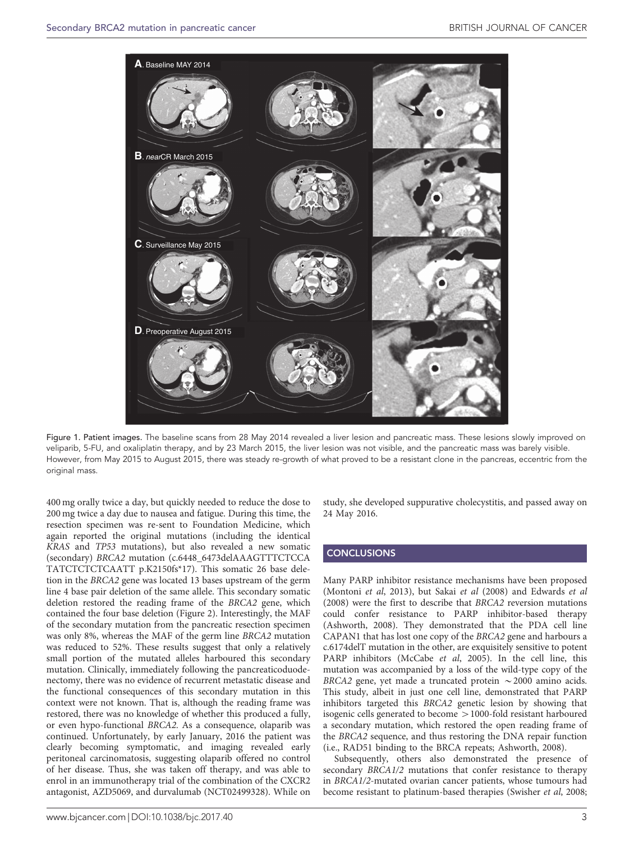<span id="page-2-0"></span>

Figure 1. Patient images. The baseline scans from 28 May 2014 revealed a liver lesion and pancreatic mass. These lesions slowly improved on veliparib, 5-FU, and oxaliplatin therapy, and by 23 March 2015, the liver lesion was not visible, and the pancreatic mass was barely visible. However, from May 2015 to August 2015, there was steady re-growth of what proved to be a resistant clone in the pancreas, eccentric from the original mass.

400 mg orally twice a day, but quickly needed to reduce the dose to 200 mg twice a day due to nausea and fatigue. During this time, the resection specimen was re-sent to Foundation Medicine, which again reported the original mutations (including the identical KRAS and TP53 mutations), but also revealed a new somatic (secondary) BRCA2 mutation (c.6448\_6473delAAAGTTTCTCCA TATCTCTCTCAATT p.K2150fs\*17). This somatic 26 base deletion in the BRCA2 gene was located 13 bases upstream of the germ line 4 base pair deletion of the same allele. This secondary somatic deletion restored the reading frame of the BRCA2 gene, which contained the four base deletion ([Figure 2](#page-3-0)). Interestingly, the MAF of the secondary mutation from the pancreatic resection specimen was only 8%, whereas the MAF of the germ line BRCA2 mutation was reduced to 52%. These results suggest that only a relatively small portion of the mutated alleles harboured this secondary mutation. Clinically, immediately following the pancreaticoduodenectomy, there was no evidence of recurrent metastatic disease and the functional consequences of this secondary mutation in this context were not known. That is, although the reading frame was restored, there was no knowledge of whether this produced a fully, or even hypo-functional BRCA2. As a consequence, olaparib was continued. Unfortunately, by early January, 2016 the patient was clearly becoming symptomatic, and imaging revealed early peritoneal carcinomatosis, suggesting olaparib offered no control of her disease. Thus, she was taken off therapy, and was able to enrol in an immunotherapy trial of the combination of the CXCR2 antagonist, AZD5069, and durvalumab (NCT02499328). While on

[www.bjcancer.com](http://www.bjcancer.com) | DOI:10.1038/bjc.2017.40 3

study, she developed suppurative cholecystitis, and passed away on 24 May 2016.

### **CONCLUSIONS**

Many PARP inhibitor resistance mechanisms have been proposed ([Montoni](#page-4-0) et al, 2013), but Sakai et al [\(2008\)](#page-4-0) and Edwards et al [\(2008\)](#page-4-0) were the first to describe that BRCA2 reversion mutations could confer resistance to PARP inhibitor-based therapy ([Ashworth, 2008\)](#page-3-0). They demonstrated that the PDA cell line CAPAN1 that has lost one copy of the BRCA2 gene and harbours a c.6174delT mutation in the other, are exquisitely sensitive to potent PARP inhibitors ([McCabe](#page-4-0) et al, 2005). In the cell line, this mutation was accompanied by a loss of the wild-type copy of the BRCA2 gene, yet made a truncated protein  $\sim$  2000 amino acids. This study, albeit in just one cell line, demonstrated that PARP inhibitors targeted this BRCA2 genetic lesion by showing that isogenic cells generated to become  $>1000$ -fold resistant harboured a secondary mutation, which restored the open reading frame of the BRCA2 sequence, and thus restoring the DNA repair function (i.e., RAD51 binding to the BRCA repeats; [Ashworth, 2008](#page-3-0)).

Subsequently, others also demonstrated the presence of secondary BRCA1/2 mutations that confer resistance to therapy in BRCA1/2-mutated ovarian cancer patients, whose tumours had become resistant to platinum-based therapies [\(Swisher](#page-5-0) et al, 2008;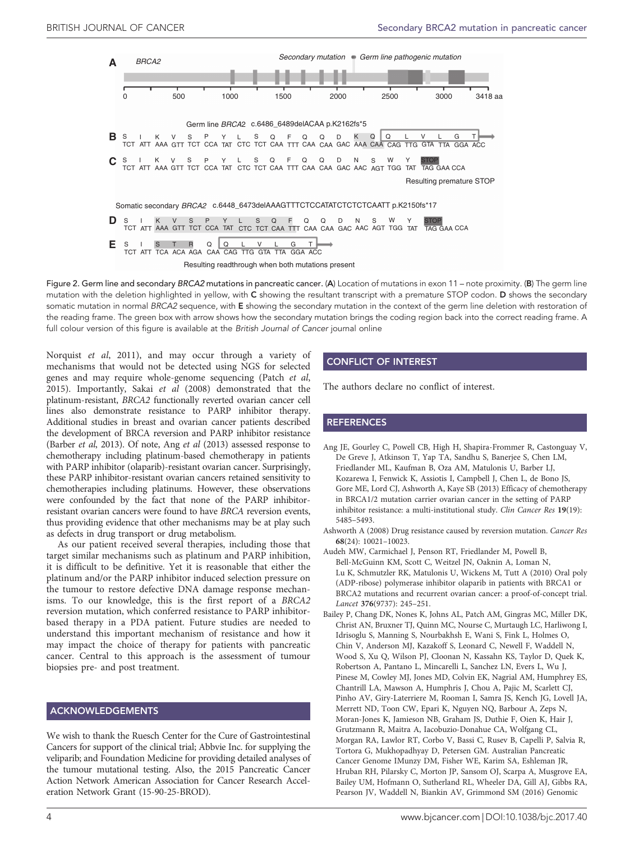<span id="page-3-0"></span>

Figure 2. Germ line and secondary BRCA2 mutations in pancreatic cancer. (A) Location of mutations in exon 11 – note proximity. (B) The germ line mutation with the deletion highlighted in yellow, with C showing the resultant transcript with a premature STOP codon. D shows the secondary somatic mutation in normal BRCA2 sequence, with E showing the secondary mutation in the context of the germ line deletion with restoration of the reading frame. The green box with arrow shows how the secondary mutation brings the coding region back into the correct reading frame. A full colour version of this figure is available at the British Journal of Cancer journal online

[Norquist](#page-4-0) et al, 2011), and may occur through a variety of mechanisms that would not be detected using NGS for selected genes and may require whole-genome sequencing [\(Patch](#page-4-0) et al, [2015](#page-4-0)). Importantly, Sakai et al [\(2008\)](#page-4-0) demonstrated that the platinum-resistant, BRCA2 functionally reverted ovarian cancer cell lines also demonstrate resistance to PARP inhibitor therapy. Additional studies in breast and ovarian cancer patients described the development of BRCA reversion and PARP inhibitor resistance ([Barber](#page-4-0) et al, 2013). Of note, Ang et al (2013) assessed response to chemotherapy including platinum-based chemotherapy in patients with PARP inhibitor (olaparib)-resistant ovarian cancer. Surprisingly, these PARP inhibitor-resistant ovarian cancers retained sensitivity to chemotherapies including platinums. However, these observations were confounded by the fact that none of the PARP inhibitorresistant ovarian cancers were found to have BRCA reversion events, thus providing evidence that other mechanisms may be at play such as defects in drug transport or drug metabolism.

As our patient received several therapies, including those that target similar mechanisms such as platinum and PARP inhibition, it is difficult to be definitive. Yet it is reasonable that either the platinum and/or the PARP inhibitor induced selection pressure on the tumour to restore defective DNA damage response mechanisms. To our knowledge, this is the first report of a BRCA2 reversion mutation, which conferred resistance to PARP inhibitorbased therapy in a PDA patient. Future studies are needed to understand this important mechanism of resistance and how it may impact the choice of therapy for patients with pancreatic cancer. Central to this approach is the assessment of tumour biopsies pre- and post treatment.

#### ACKNOWLEDGEMENTS

We wish to thank the Ruesch Center for the Cure of Gastrointestinal Cancers for support of the clinical trial; Abbvie Inc. for supplying the veliparib; and Foundation Medicine for providing detailed analyses of the tumour mutational testing. Also, the 2015 Pancreatic Cancer Action Network American Association for Cancer Research Acceleration Network Grant (15-90-25-BROD).

# CONFLICT OF INTEREST

The authors declare no conflict of interest.

## REFERENCES

- Ang JE, Gourley C, Powell CB, High H, Shapira-Frommer R, Castonguay V, De Greve J, Atkinson T, Yap TA, Sandhu S, Banerjee S, Chen LM, Friedlander ML, Kaufman B, Oza AM, Matulonis U, Barber LJ, Kozarewa I, Fenwick K, Assiotis I, Campbell J, Chen L, de Bono JS, Gore ME, Lord CJ, Ashworth A, Kaye SB (2013) Efficacy of chemotherapy in BRCA1/2 mutation carrier ovarian cancer in the setting of PARP inhibitor resistance: a multi-institutional study. Clin Cancer Res 19(19): 5485–5493.
- Ashworth A (2008) Drug resistance caused by reversion mutation. Cancer Res 68(24): 10021–10023.
- Audeh MW, Carmichael J, Penson RT, Friedlander M, Powell B, Bell-McGuinn KM, Scott C, Weitzel JN, Oaknin A, Loman N, Lu K, Schmutzler RK, Matulonis U, Wickens M, Tutt A (2010) Oral poly (ADP-ribose) polymerase inhibitor olaparib in patients with BRCA1 or BRCA2 mutations and recurrent ovarian cancer: a proof-of-concept trial. Lancet 376(9737): 245–251.
- Bailey P, Chang DK, Nones K, Johns AL, Patch AM, Gingras MC, Miller DK, Christ AN, Bruxner TJ, Quinn MC, Nourse C, Murtaugh LC, Harliwong I, Idrisoglu S, Manning S, Nourbakhsh E, Wani S, Fink L, Holmes O, Chin V, Anderson MJ, Kazakoff S, Leonard C, Newell F, Waddell N, Wood S, Xu Q, Wilson PJ, Cloonan N, Kassahn KS, Taylor D, Quek K, Robertson A, Pantano L, Mincarelli L, Sanchez LN, Evers L, Wu J, Pinese M, Cowley MJ, Jones MD, Colvin EK, Nagrial AM, Humphrey ES, Chantrill LA, Mawson A, Humphris J, Chou A, Pajic M, Scarlett CJ, Pinho AV, Giry-Laterriere M, Rooman I, Samra JS, Kench JG, Lovell JA, Merrett ND, Toon CW, Epari K, Nguyen NQ, Barbour A, Zeps N, Moran-Jones K, Jamieson NB, Graham JS, Duthie F, Oien K, Hair J, Grutzmann R, Maitra A, Iacobuzio-Donahue CA, Wolfgang CL, Morgan RA, Lawlor RT, Corbo V, Bassi C, Rusev B, Capelli P, Salvia R, Tortora G, Mukhopadhyay D, Petersen GM. Australian Pancreatic Cancer Genome IMunzy DM, Fisher WE, Karim SA, Eshleman JR, Hruban RH, Pilarsky C, Morton JP, Sansom OJ, Scarpa A, Musgrove EA, Bailey UM, Hofmann O, Sutherland RL, Wheeler DA, Gill AJ, Gibbs RA, Pearson JV, Waddell N, Biankin AV, Grimmond SM (2016) Genomic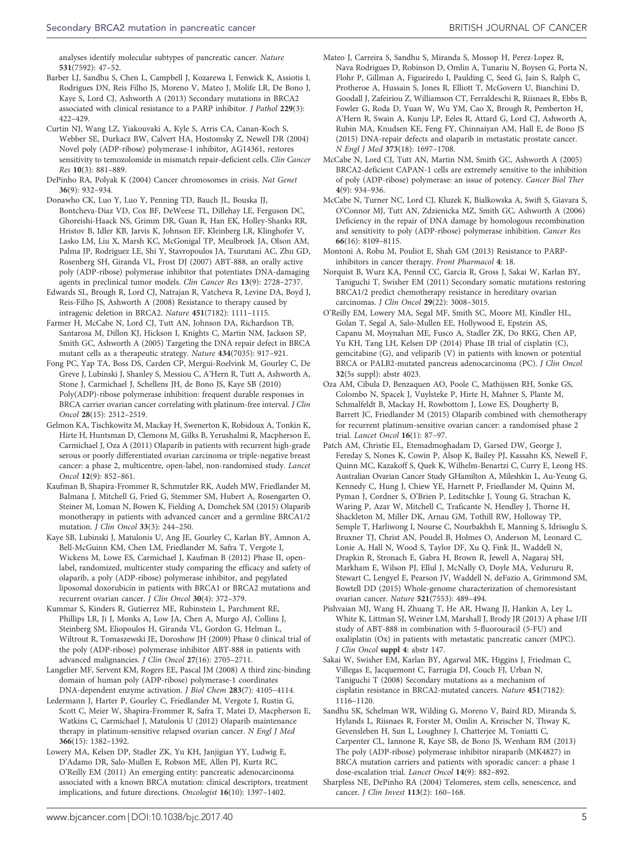<span id="page-4-0"></span>analyses identify molecular subtypes of pancreatic cancer. Nature 531(7592): 47–52.

- Barber LJ, Sandhu S, Chen L, Campbell J, Kozarewa I, Fenwick K, Assiotis I, Rodrigues DN, Reis Filho JS, Moreno V, Mateo J, Molife LR, De Bono J, Kaye S, Lord CJ, Ashworth A (2013) Secondary mutations in BRCA2 associated with clinical resistance to a PARP inhibitor. J Pathol 229(3): 422–429.
- Curtin NJ, Wang LZ, Yiakouvaki A, Kyle S, Arris CA, Canan-Koch S, Webber SE, Durkacz BW, Calvert HA, Hostomsky Z, Newell DR (2004) Novel poly (ADP-ribose) polymerase-1 inhibitor, AG14361, restores sensitivity to temozolomide in mismatch repair-deficient cells. Clin Cancer Res 10(3): 881–889.
- DePinho RA, Polyak K (2004) Cancer chromosomes in crisis. Nat Genet 36(9): 932–934.
- Donawho CK, Luo Y, Luo Y, Penning TD, Bauch JL, Bouska JJ, Bontcheva-Diaz VD, Cox BF, DeWeese TL, Dillehay LE, Ferguson DC, Ghoreishi-Haack NS, Grimm DR, Guan R, Han EK, Holley-Shanks RR, Hristov B, Idler KB, Jarvis K, Johnson EF, Kleinberg LR, Klinghofer V, Lasko LM, Liu X, Marsh KC, McGonigal TP, Meulbroek JA, Olson AM, Palma JP, Rodriguez LE, Shi Y, Stavropoulos JA, Tsurutani AC, Zhu GD, Rosenberg SH, Giranda VL, Frost DJ (2007) ABT-888, an orally active poly (ADP-ribose) polymerase inhibitor that potentiates DNA-damaging agents in preclinical tumor models. Clin Cancer Res 13(9): 2728–2737.
- Edwards SL, Brough R, Lord CJ, Natrajan R, Vatcheva R, Levine DA, Boyd J, Reis-Filho JS, Ashworth A (2008) Resistance to therapy caused by intragenic deletion in BRCA2. Nature 451(7182): 1111–1115.
- Farmer H, McCabe N, Lord CJ, Tutt AN, Johnson DA, Richardson TB, Santarosa M, Dillon KJ, Hickson I, Knights C, Martin NM, Jackson SP, Smith GC, Ashworth A (2005) Targeting the DNA repair defect in BRCA mutant cells as a therapeutic strategy. Nature 434(7035): 917–921.
- Fong PC, Yap TA, Boss DS, Carden CP, Mergui-Roelvink M, Gourley C, De Greve J, Lubinski J, Shanley S, Messiou C, A'Hern R, Tutt A, Ashworth A, Stone J, Carmichael J, Schellens JH, de Bono JS, Kaye SB (2010) Poly(ADP)-ribose polymerase inhibition: frequent durable responses in BRCA carrier ovarian cancer correlating with platinum-free interval. J Clin Oncol 28(15): 2512–2519.
- Gelmon KA, Tischkowitz M, Mackay H, Swenerton K, Robidoux A, Tonkin K, Hirte H, Huntsman D, Clemons M, Gilks B, Yerushalmi R, Macpherson E, Carmichael J, Oza A (2011) Olaparib in patients with recurrent high-grade serous or poorly differentiated ovarian carcinoma or triple-negative breast cancer: a phase 2, multicentre, open-label, non-randomised study. Lancet Oncol 12(9): 852–861.
- Kaufman B, Shapira-Frommer R, Schmutzler RK, Audeh MW, Friedlander M, Balmana J, Mitchell G, Fried G, Stemmer SM, Hubert A, Rosengarten O, Steiner M, Loman N, Bowen K, Fielding A, Domchek SM (2015) Olaparib monotherapy in patients with advanced cancer and a germline BRCA1/2 mutation. J Clin Oncol 33(3): 244–250.
- Kaye SB, Lubinski J, Matulonis U, Ang JE, Gourley C, Karlan BY, Amnon A, Bell-McGuinn KM, Chen LM, Friedlander M, Safra T, Vergote I, Wickens M, Lowe ES, Carmichael J, Kaufman B (2012) Phase II, openlabel, randomized, multicenter study comparing the efficacy and safety of olaparib, a poly (ADP-ribose) polymerase inhibitor, and pegylated liposomal doxorubicin in patients with BRCA1 or BRCA2 mutations and recurrent ovarian cancer. J Clin Oncol 30(4): 372–379.
- Kummar S, Kinders R, Gutierrez ME, Rubinstein L, Parchment RE, Phillips LR, Ji J, Monks A, Low JA, Chen A, Murgo AJ, Collins J, Steinberg SM, Eliopoulos H, Giranda VL, Gordon G, Helman L, Wiltrout R, Tomaszewski JE, Doroshow JH (2009) Phase 0 clinical trial of the poly (ADP-ribose) polymerase inhibitor ABT-888 in patients with advanced malignancies. J Clin Oncol 27(16): 2705–2711.
- Langelier MF, Servent KM, Rogers EE, Pascal JM (2008) A third zinc-binding domain of human poly (ADP-ribose) polymerase-1 coordinates DNA-dependent enzyme activation. J Biol Chem 283(7): 4105–4114.
- Ledermann J, Harter P, Gourley C, Friedlander M, Vergote I, Rustin G, Scott C, Meier W, Shapira-Frommer R, Safra T, Matei D, Macpherson E, Watkins C, Carmichael J, Matulonis U (2012) Olaparib maintenance therapy in platinum-sensitive relapsed ovarian cancer. N Engl J Med 366(15): 1382–1392.
- Lowery MA, Kelsen DP, Stadler ZK, Yu KH, Janjigian YY, Ludwig E, D'Adamo DR, Salo-Mullen E, Robson ME, Allen PJ, Kurtz RC, O'Reilly EM (2011) An emerging entity: pancreatic adenocarcinoma associated with a known BRCA mutation: clinical descriptors, treatment implications, and future directions. Oncologist 16(10): 1397–1402.
- Mateo J, Carreira S, Sandhu S, Miranda S, Mossop H, Perez-Lopez R, Nava Rodrigues D, Robinson D, Omlin A, Tunariu N, Boysen G, Porta N, Flohr P, Gillman A, Figueiredo I, Paulding C, Seed G, Jain S, Ralph C, Protheroe A, Hussain S, Jones R, Elliott T, McGovern U, Bianchini D, Goodall J, Zafeiriou Z, Williamson CT, Ferraldeschi R, Riisnaes R, Ebbs B, Fowler G, Roda D, Yuan W, Wu YM, Cao X, Brough R, Pemberton H, A'Hern R, Swain A, Kunju LP, Eeles R, Attard G, Lord CJ, Ashworth A, Rubin MA, Knudsen KE, Feng FY, Chinnaiyan AM, Hall E, de Bono JS (2015) DNA-repair defects and olaparib in metastatic prostate cancer. N Engl J Med 373(18): 1697–1708.
- McCabe N, Lord CJ, Tutt AN, Martin NM, Smith GC, Ashworth A (2005) BRCA2-deficient CAPAN-1 cells are extremely sensitive to the inhibition of poly (ADP-ribose) polymerase: an issue of potency. Cancer Biol Ther 4(9): 934–936.
- McCabe N, Turner NC, Lord CJ, Kluzek K, Bialkowska A, Swift S, Giavara S, O'Connor MJ, Tutt AN, Zdzienicka MZ, Smith GC, Ashworth A (2006) Deficiency in the repair of DNA damage by homologous recombination and sensitivity to poly (ADP-ribose) polymerase inhibition. Cancer Res 66(16): 8109–8115.
- Montoni A, Robu M, Pouliot E, Shah GM (2013) Resistance to PARPinhibitors in cancer therapy. Front Pharmacol 4: 18.
- Norquist B, Wurz KA, Pennil CC, Garcia R, Gross J, Sakai W, Karlan BY, Taniguchi T, Swisher EM (2011) Secondary somatic mutations restoring BRCA1/2 predict chemotherapy resistance in hereditary ovarian carcinomas. J Clin Oncol 29(22): 3008–3015.
- O'Reilly EM, Lowery MA, Segal MF, Smith SC, Moore MJ, Kindler HL, Golan T, Segal A, Salo-Mullen EE, Hollywood E, Epstein AS, Capanu M, Moynahan ME, Fusco A, Stadler ZK, Do RKG, Chen AP, Yu KH, Tang LH, Kelsen DP (2014) Phase IB trial of cisplatin (C), gemcitabine (G), and veliparib (V) in patients with known or potential BRCA or PALB2-mutated pancreas adenocarcinoma (PC). J Clin Oncol 32(5s suppl): abstr 4023.
- Oza AM, Cibula D, Benzaquen AO, Poole C, Mathijssen RH, Sonke GS, Colombo N, Spacek J, Vuylsteke P, Hirte H, Mahner S, Plante M, Schmalfeldt B, Mackay H, Rowbottom J, Lowe ES, Dougherty B, Barrett JC, Friedlander M (2015) Olaparib combined with chemotherapy for recurrent platinum-sensitive ovarian cancer: a randomised phase 2 trial. Lancet Oncol 16(1): 87–97.
- Patch AM, Christie EL, Etemadmoghadam D, Garsed DW, George J, Fereday S, Nones K, Cowin P, Alsop K, Bailey PJ, Kassahn KS, Newell F, Quinn MC, Kazakoff S, Quek K, Wilhelm-Benartzi C, Curry E, Leong HS. Australian Ovarian Cancer Study GHamilton A, Mileshkin L, Au-Yeung G, Kennedy C, Hung J, Chiew YE, Harnett P, Friedlander M, Quinn M, Pyman J, Cordner S, O'Brien P, Leditschke J, Young G, Strachan K, Waring P, Azar W, Mitchell C, Traficante N, Hendley J, Thorne H, Shackleton M, Miller DK, Arnau GM, Tothill RW, Holloway TP, Semple T, Harliwong I, Nourse C, Nourbakhsh E, Manning S, Idrisoglu S, Bruxner TJ, Christ AN, Poudel B, Holmes O, Anderson M, Leonard C, Lonie A, Hall N, Wood S, Taylor DF, Xu Q, Fink JL, Waddell N, Drapkin R, Stronach E, Gabra H, Brown R, Jewell A, Nagaraj SH, Markham E, Wilson PJ, Ellul J, McNally O, Doyle MA, Vedururu R, Stewart C, Lengyel E, Pearson JV, Waddell N, deFazio A, Grimmond SM, Bowtell DD (2015) Whole-genome characterization of chemoresistant ovarian cancer. Nature 521(7553): 489–494.
- Pishvaian MJ, Wang H, Zhuang T, He AR, Hwang JJ, Hankin A, Ley L, White K, Littman SJ, Weiner LM, Marshall J, Brody JR (2013) A phase I/II study of ABT-888 in combination with 5-fluorouracil (5-FU) and oxaliplatin (Ox) in patients with metastatic pancreatic cancer (MPC). J Clin Oncol suppl 4: abstr 147.
- Sakai W, Swisher EM, Karlan BY, Agarwal MK, Higgins J, Friedman C, Villegas E, Jacquemont C, Farrugia DJ, Couch FJ, Urban N, Taniguchi T (2008) Secondary mutations as a mechanism of cisplatin resistance in BRCA2-mutated cancers. Nature 451(7182): 1116–1120.
- Sandhu SK, Schelman WR, Wilding G, Moreno V, Baird RD, Miranda S, Hylands L, Riisnaes R, Forster M, Omlin A, Kreischer N, Thway K, Gevensleben H, Sun L, Loughney J, Chatterjee M, Toniatti C, Carpenter CL, Iannone R, Kaye SB, de Bono JS, Wenham RM (2013) The poly (ADP-ribose) polymerase inhibitor niraparib (MK4827) in BRCA mutation carriers and patients with sporadic cancer: a phase 1 dose-escalation trial. Lancet Oncol 14(9): 882–892.
- Sharpless NE, DePinho RA (2004) Telomeres, stem cells, senescence, and cancer. J Clin Invest 113(2): 160-168.